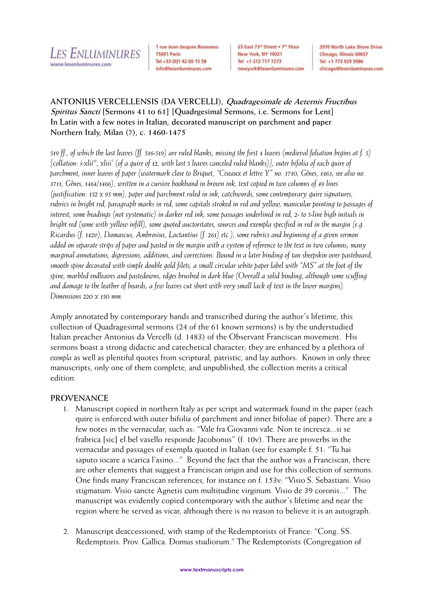

1 rue Jean-Jacques Rousseau **75001 Paris** Tel +33 (0)1 42 60 15 58 info@lesenluminures.com

23 East 73<sup>nd</sup> Street . 7th Floor New York, NY 10021 Tel +1 212 717 7273 newyork@lesenluminures.com 2970 North Lake Shore Drive Chicago, Illinois 60657 Tel +1 773 929 5986 chicago@lesenluminures.com

# **ANTONIUS VERCELLENSIS (DA VERCELLI), Quadragesimale de Aeternis Fructibus Spiritus Sancti [Sermons 41 to 61] [Quadrgesimal Sermons, i.e. Sermons for Lent] In Latin with a few notes in Italian, decorated manuscript on parchment and paper Northern Italy, Milan (?), c. 1460-1475**

*519 ff., of which the last leaves (ff. 516-519) are ruled blanks, missing the first 4 leaves (medieval foliation begins at f. 5) [collation: i-xlii<sup>12</sup>, xliii<sup>7</sup> (of a quire of 12, with last 5 leaves canceled ruled blanks)], outer bifolia of each quire of parchment, inner leaves of paper (watermark close to Briquet, "Ciseaux et lettre Y" no. 3710, Gênes, 1463; see also no. 3711, Gênes, 1464/1466), written in a cursive bookhand in brown ink, text copied in two columns of 49 lines (justification: 152 x 95 mm), paper and parchment ruled in ink, catchwords, some contemporary quire signatures, rubrics in bright red, paragraph marks in red, some capitals stroked in red and yellow, maniculae pointing to passages of interest, some headings (not systematic) in darker red ink, some passages underlined in red, 2- to 5-line high initials in bright red (some with yellow infill), some quoted auctoritates, sources and exempla specified in red in the margin (e.g. Ricardus (f. 142v), Damascus, Ambrosius, Lactantius (f. 261) etc.), some rubrics and beginning of a given sermon added on separate strips of paper and pasted in the margin with a system of reference to the text in two columns; many marginal annotations, digressions, additions, and corrections. Bound in a later binding of tan sheepskin over pasteboard, smooth spine decorated with simple double gold filets, a small circular white paper label with "MS" at the foot of the spine, marbled endleaves and pastedowns, edges brushed in dark blue (Overall a solid binding, although some scuffing and damage to the leather of boards; a few leaves cut short with very small lack of text in the lower margins). Dimensions 220 x 150 mm.*

Amply annotated by contemporary hands and transcribed during the author's lifetime, this collection of Quadragesimal sermons (24 of the 61 known sermons) is by the understudied Italian preacher Antonius da Vercelli (d. 1483) of the Observant Franciscan movement. His sermons boast a strong didactic and catechetical character; they are enhanced by a plethora of *exempla* as well as plentiful quotes from scriptural, patristic, and lay authors. Known in only three manuscripts, only one of them complete, and unpublished, the collection merits a critical edition.

## **PROVENANCE**

- 1. Manuscript copied in northern Italy as per script and watermark found in the paper (each quire is enforced with outer bifolia of parchment and inner bifoliae of paper). There are a few notes in the vernacular, such as: "Vale fra Giovanni vale. Non te incresca...si se frabrica [sic] el bel vasello responde Jacobonus" (f. 10v). There are proverbs in the vernacular and passages of exempla quoted in Italian (see for example f. 51: "Tu hai saputo iocare a scarica l'asino..." Beyond the fact that the author was a Franciscan, there are other elements that suggest a Franciscan origin and use for this collection of sermons. One finds many Franciscan references, for instance on f. 153v: "Visio S. Sebastiani. Visio stigmatum. Visio sancte Agnetis cum multitudine virginum. Visio de 39 coronis..." The manuscript was evidently copied contemporary with the author's lifetime and near the region where he served as vicar, although there is no reason to believe it is an autograph.
- 2. Manuscript deaccessioned, with stamp of the Redemptorists of France: "Cong. SS. Redemptoris. Prov. Gallica. Domus studiorum." The Redemptorists (Congregation of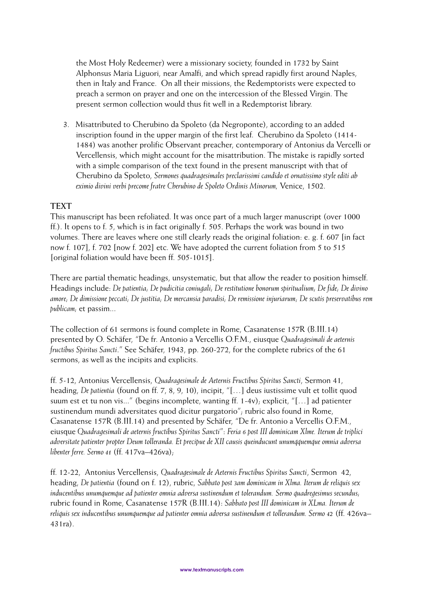the Most Holy Redeemer) were a missionary society, founded in 1732 by Saint Alphonsus Maria Liguori, near Amalfi, and which spread rapidly first around Naples, then in Italy and France. On all their missions, the Redemptorists were expected to preach a sermon on prayer and one on the intercession of the Blessed Virgin. The present sermon collection would thus fit well in a Redemptorist library.

3. Misattributed to Cherubino da Spoleto (da Negroponte), according to an added inscription found in the upper margin of the first leaf. Cherubino da Spoleto (1414- 1484) was another prolific Observant preacher, contemporary of Antonius da Vercelli or Vercellensis, which might account for the misattribution. The mistake is rapidly sorted with a simple comparison of the text found in the present manuscript with that of Cherubino da Spoleto, *Sermones quadragesimales preclarissimi candido et ornatissimo style editi ab eximio divini verbi precome fratre Cherubino de Spoleto Ordinis Minorum,* Venice, 1502.

#### **TEXT**

This manuscript has been refoliated. It was once part of a much larger manuscript (over 1000 ff.). It opens to f. 5, which is in fact originally f. 505. Perhaps the work was bound in two volumes. There are leaves where one still clearly reads the original foliation: e. g. f. 607 [in fact now f. 107], f. 702 [now f. 202] etc. We have adopted the current foliation from 5 to 515 [original foliation would have been ff. 505-1015].

There are partial thematic headings, unsystematic, but that allow the reader to position himself. Headings include: *De patientia; De pudicitia coniugali; De restitutione bonorum spiritualium; De fide; De divino amore; De dimissione peccati; De justitia; De mercansia paradisi; De remissione injuriarum; De scutis preservatibus rem publicam;* et passim...

The collection of 61 sermons is found complete in Rome, Casanatense 157R (B.III.14) presented by O. Schäfer, "De fr. Antonio a Vercellis O.F.M., eiusque *Quadragesimali de aeternis fructibus Spiritus Sancti*." See Schäfer, 1943, pp. 260-272, for the complete rubrics of the 61 sermons, as well as the incipits and explicits.

ff. 5-12, Antonius Vercellensis, *Quadragesimale de Aeternis Fructibus Spiritus Sancti*, Sermon 41, heading, *De patientia* (found on ff. 7, 8, 9, 10), incipit, "[…] deus iustissime vult et tollit quod suum est et tu non vis..." (begins incomplete, wanting ff. 1-4v); explicit, "[…] ad patienter sustinendum mundi adversitates quod dicitur purgatorio"; rubric also found in Rome, Casanatense 157R (B.III.14) and presented by Schäfer, "De fr. Antonio a Vercellis O.F.M., eiusque *Quadragesimali de aeternis fructibus Spiritus Sancti*": *Feria 6 post III dominicam Xlme. Iterum de triplici adversitate patienter propter Deum tolleranda. Et precipue de XII causis queinducunt unumqquemque omnia adversa libenter ferre. Sermo 41* (ff. 417va–426va);

ff. 12-22, Antonius Vercellensis, *Quadragesimale de Aeternis Fructibus Spiritus Sancti*, Sermon 42, heading, *De patientia* (found on f. 12), rubric, *Sabbato post 3am dominicam in Xlma. Iterum de reliquis sex inducentibus unumquemque ad patienter omnia adversa sustinendum et tolerandum. Sermo quadregesimus secundus;*  rubric found in Rome, Casanatense 157R (B.III.14): *Sabbato post III dominicam in XLma. Iterum de reliquis sex inducentibus unumquemque ad patienter omnia adversa sustinendum et tollerandum. Sermo 42* (ff. 426va– 431ra).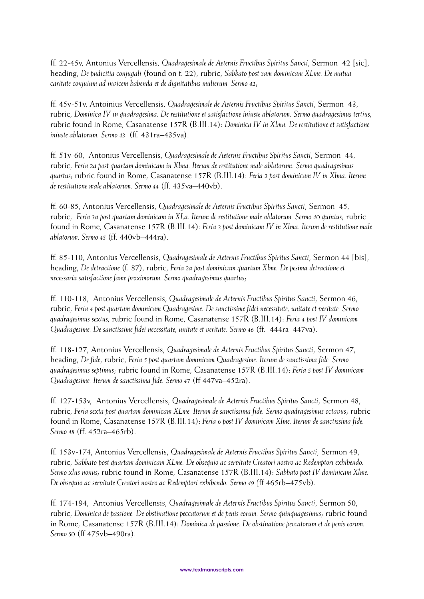ff. 22-45v, Antonius Vercellensis, *Quadragesimale de Aeternis Fructibus Spiritus Sancti*, Sermon 42 [sic], heading, *De pudicitia conjugali* (found on f. 22), rubric, *Sabbato post 3am dominicam XLme. De mutua caritate conjuium ad invicem habenda et de dignitatibus mulierum. Sermo 42*;

ff. 45v-51v, Antoinius Vercellensis, *Quadragesimale de Aeternis Fructibus Spiritus Sancti*, Sermon 43, rubric, *Dominica IV in quadragesima. De restitutione et satisfactione iniuste ablatorum. Sermo quadragesimus tertius;* rubric found in Rome, Casanatense 157R (B.III.14): *Dominica IV in Xlma. De restitutione et satisfactione iniuste ablatorum. Sermo 43* (ff. 431ra–435va).

ff. 51v-60, Antonius Vercellensis, *Quadragesimale de Aeternis Fructibus Spiritus Sancti*, Sermon 44, rubric, *Feria 2a post quartam dominicam in Xlma. Iterum de restitutione male ablatorum. Sermo quadragesimus quartus;* rubric found in Rome, Casanatense 157R (B.III.14): *Feria 2 post dominicam IV in Xlma. Iterum de restitutione male ablatorum. Sermo 44* (ff. 435va–440vb).

ff. 60-85, Antonius Vercellensis, *Quadragesimale de Aeternis Fructibus Spiritus Sancti*, Sermon 45, rubric, *Feria 3a post quartam dominicam in XLa. Iterum de restitutione male ablatorum. Sermo 40 quintus;* rubric found in Rome, Casanatense 157R (B.III.14): *Feria 3 post dominicam IV in Xlma. Iterum de restitutione male ablatorum. Sermo 45* (ff. 440vb–444ra).

ff. 85-110, Antonius Vercellensis, *Quadragesimale de Aeternis Fructibus Spiritus Sancti*, Sermon 44 [bis], heading, *De detractione* (f. 87), rubric, *Feria 2a post dominicam quartum Xlme. De pesima detractione et necessaria satisfactione fame proximorum. Sermo quadragesimus quartus*;

ff. 110-118, Antonius Vercellensis, *Quadragesimale de Aeternis Fructibus Spiritus Sancti*, Sermon 46, rubric, *Feria 4 post quartam dominicam Quadragesime. De sanctissime fidei necessitate, unitate et veritate. Sermo quadragesimus sextus;* rubric found in Rome, Casanatense 157R (B.III.14): *Feria 4 post IV dominicam Quadragesime. De sanctissime fidei necessitate, unitate et veritate. Sermo 46* (ff. 444ra–447va).

ff. 118-127, Antonius Vercellensis, *Quadragesimale de Aeternis Fructibus Spiritus Sancti*, Sermon 47, heading, *De fide*, rubric, *Feria 5 post quartam dominicam Quadragesime. Iterum de sanctissima fide. Sermo quadragesimus septimus*; rubric found in Rome, Casanatense 157R (B.III.14): *Feria 5 post IV dominicam Quadragesime. Iterum de sanctissima fide. Sermo 47* (ff 447va–452ra).

ff. 127-153v, Antonius Vercellensis, *Quadragesimale de Aeternis Fructibus Spiritus Sancti*, Sermon 48, rubric, *Feria sexta post quartam dominicam XLme. Iterum de sanctissima fide. Sermo quadragesimus octavus*; rubric found in Rome, Casanatense 157R (B.III.14): *Feria 6 post IV dominicam Xlme. Iterum de sanctissima fide. Sermo 48* (ff. 452ra–465rb).

ff. 153v-174, Antonius Vercellensis, *Quadragesimale de Aeternis Fructibus Spiritus Sancti*, Sermon 49, rubric, *Sabbato post quartam dominicam XLme. De obsequio ac servitute Creatori nostro ac Redemptori exhibendo. Sermo xlus nonus;* rubric found in Rome, Casanatense 157R (B.III.14): *Sabbato post IV dominicam Xlme. De obsequio ac servitute Creatori nostro ac Redemptori exhibendo. Sermo 49 (*ff 465rb–475vb).

ff. 174-194, Antonius Vercellensis, *Quadragesimale de Aeternis Fructibus Spiritus Sancti*, Sermon 50, rubric, *Dominica de passione. De obstinatione peccatorum et de penis eorum. Sermo quinquagesimus*; rubric found in Rome, Casanatense 157R (B.III.14): *Dominica de passione. De obstinatione peccatorum et de penis eorum. Sermo 50* (ff 475vb–490ra).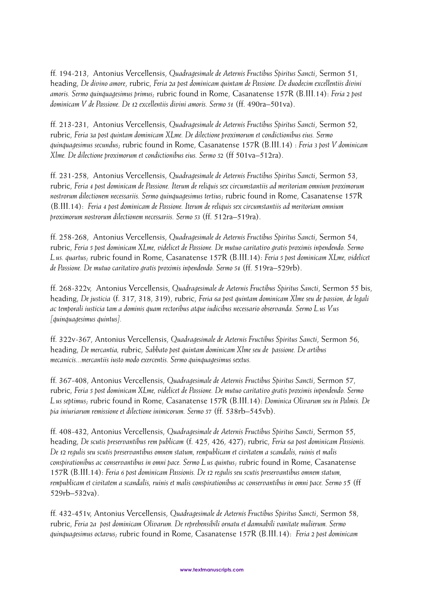ff. 194-213, Antonius Vercellensis, *Quadragesimale de Aeternis Fructibus Spiritus Sancti*, Sermon 51, heading, *De divino amore*, rubric, *Feria 2a post dominicam quintam de Passione. De duodecim excellentiis divini amoris. Sermo quinquagesimus primus*; rubric found in Rome, Casanatense 157R (B.III.14): *Feria 2 post dominicam V de Passione. De 12 excellentiis divini amoris. Sermo 51* (ff. 490ra–501va).

ff. 213-231, Antonius Vercellensis, *Quadragesimale de Aeternis Fructibus Spiritus Sancti*, Sermon 52, rubric, *Feria 3a post quintam dominicam XLme. De dilectione proximorum et condictionibus eius. Sermo quinquagesimus secundus*; rubric found in Rome, Casanatense 157R (B.III.14) : *Feria 3 post V dominicam Xlme. De dilectione proximorum et condictionibus eius. Sermo 52* (ff 501va–512ra).

ff. 231-258, Antonius Vercellensis, *Quadragesimale de Aeternis Fructibus Spiritus Sancti*, Sermon 53, rubric, *Feria 4 post dominicam de Passione. Iterum de reliquis sex circumstantiis ad meritoriam omnium proximorum nostrorum dilectionem necessariis. Sermo quinquagesimus tertius*; rubric found in Rome, Casanatense 157R (B.III.14): *Feria 4 post dominicam de Passione. Iterum de reliquis sex circumstantiis ad meritoriam omnium proximorum nostrorum dilectionem necessariis. Sermo 53* (ff. 512ra–519ra).

ff. 258-268, Antonius Vercellensis, *Quadragesimale de Aeternis Fructibus Spiritus Sancti*, Sermon 54, rubric, *Feria 5 post dominicam XLme, videlicet de Passione. De mutuo caritativo gratis proximis inpendendo. Sermo L.us. quartus*; rubric found in Rome, Casanatense 157R (B.III.14): *Feria 5 post dominicam XLme, videlicet de Passione. De mutuo caritativo gratis proximis inpendendo. Sermo 54* (ff. 519ra–529rb).

ff. 268-322v, Antonius Vercellensis, *Quadragesimale de Aeternis Fructibus Spiritus Sancti*, Sermon 55 bis, heading, *De justicia* (f. 317, 318, 319), rubric, *Feria 6a post quintam dominicam Xlme seu de passion, de legali ac temporali iusticia tam a dominis quam rectoribus atque iudicibus necessario observanda. Sermo L.us V.us [quinquagesimus quintus].* 

ff. 322v-367, Antonius Vercellensis, *Quadragesimale de Aeternis Fructibus Spiritus Sancti*, Sermon 56, heading, *De mercantia,* rubric, *Sabbato post quintam dominicam Xlme seu de passione. De artibus mecanicis...mercantiis iusto modo exercentis. Sermo quinquagesimus sextus.*

ff. 367-408, Antonius Vercellensis, *Quadragesimale de Aeternis Fructibus Spiritus Sancti*, Sermon 57, rubric, *Feria 5 post dominicam XLme, videlicet de Passione. De mutuo caritativo gratis proximis inpendendo. Sermo L.us septimus*; rubric found in Rome, Casanatense 157R (B.III.14): *Dominica Olivarum seu in Palmis. De pia iniuriarum remissione et dilectione inimicorum. Sermo 57* (ff. 538rb–545vb).

ff. 408-432, Antonius Vercellensis, *Quadragesimale de Aeternis Fructibus Spiritus Sancti*, Sermon 55, heading, *De scutis preservantibus rem publicam* (f. 425, 426, 427); rubric, *Feria 6a post dominicam Passionis. De 12 regulis seu scutis preservantibus omnem statum, rempublicam et civitatem a scandalis, ruinis et malis conspirationibus ac conservantibus in omni pace. Sermo L.us quintus*; rubric found in Rome, Casanatense 157R (B.III.14): *Feria 6 post dominicam Passionis. De 12 regulis seu scutis preservantibus omnem statum, rempublicam et civitatem a scandalis, ruinis et malis conspirationibus ac conservantibus in omni pace. Sermo 5*5 (ff 529rb–532va).

ff. 432-451v, Antonius Vercellensis, *Quadragesimale de Aeternis Fructibus Spiritus Sancti*, Sermon 58, rubric, *Feria 2a post dominicam Olivarum. De reprehensibili ornatu et damnabili vanitate mulierum. Sermo quinquagesimus octavus*; rubric found in Rome, Casanatense 157R (B.III.14): *Feria 2 post dominicam*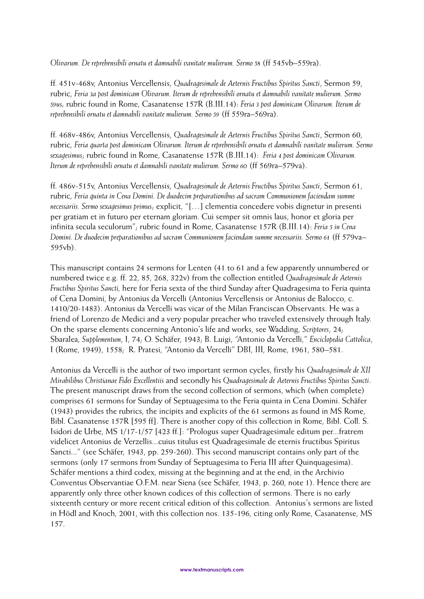*Olivarum. De reprehensibili ornatu et damnabili vanitate mulierum. Sermo 58* (ff 545vb–559ra).

ff. 451v-468v, Antonius Vercellensis, *Quadragesimale de Aeternis Fructibus Spiritus Sancti*, Sermon 59, rubric, *Feria 3a post dominicam Olivarum. Iterum de reprehensibili ornatu et damnabili vanitate mulierum. Sermo 59us;* rubric found in Rome, Casanatense 157R (B.III.14): *Feria 3 post dominicam Olivarum. Iterum de reprehensibili ornatu et damnabili vanitate mulierum. Sermo 59* (ff 559ra–569ra).

ff. 468v-486v, Antonius Vercellensis, *Quadragesimale de Aeternis Fructibus Spiritus Sancti*, Sermon 60, rubric, *Feria quarta post dominicam Olivarum. Iterum de reprehensibili ornatu et damnabili vanitate mulierum. Sermo sexagesimus*; rubric found in Rome, Casanatense 157R (B.III.14): *Feria 4 post dominicam Olivarum. Iterum de reprehensibili ornatu et damnabili vanitate mulierum. Sermo 60* (ff 569ra–579va).

ff. 486v-515v, Antonius Vercellensis, *Quadragesimale de Aeternis Fructibus Spiritus Sancti*, Sermon 61, rubric, *Feria quinta in Cena Domini. De duodecim preparationibus ad sacram Communionem faciendam summe necessariis. Sermo sexagesimus primus*; explicit, "[…] clementia concedere vobis dignetur in presenti per gratiam et in futuro per eternam gloriam. Cui semper sit omnis laus, honor et gloria per infinita secula seculorum"; rubric found in Rome, Casanatense 157R (B.III.14): *Feria 5 in Cena Domini. De duodecim preparationibus ad sacram Communionem faciendam summe necessariis. Sermo 61* (ff 579va– 595vb).

This manuscript contains 24 sermons for Lenten (41 to 61 and a few apparently unnumbered or numbered twice e.g. ff. 22, 85, 268, 322v) from the collection entitled *Quadragesimale de Aeternis Fructibus Spiritus Sancti,* here for Feria sexta of the third Sunday after Quadragesima to Feria quinta of Cena Domini, by Antonius da Vercelli (Antonius Vercellensis or Antonius de Balocco, c. 1410/20-1483). Antonius da Vercelli was vicar of the Milan Franciscan Observants. He was a friend of Lorenzo de Medici and a very popular preacher who traveled extensively through Italy. On the sparse elements concerning Antonio's life and works, see Wadding, *Scriptores*, 24; Sbaralea, *Supplementum*, I, 74; O. Schäfer, 1943; B. Luigi, "Antonio da Vercelli," *Enciclopedia Cattolica*, I (Rome, 1949), 1558; R. Pratesi, "Antonio da Vercelli" DBI, III, Rome, 1961, 580–581.

Antonius da Vercelli is the author of two important sermon cycles, firstly his *Quadragesimale de XII Mirabilibus Christianae Fidei Excellentiis* and secondly his *Quadragesimale de Aeternis Fructibus Spiritus Sancti*. The present manuscript draws from the second collection of sermons, which (when complete) comprises 61 sermons for Sunday of Septuagesima to the Feria quinta in Cena Domini. Schäfer (1943) provides the rubrics, the incipits and explicits of the 61 sermons as found in MS Rome, Bibl. Casanatense 157R [595 ff]. There is another copy of this collection in Rome, Bibl. Coll. S. Isidori de Urbe, MS 1/17-1/57 [423 ff.]: "Prologus super Quadragesimale editum per...fratrem videlicet Antonius de Verzellis...cuius titulus est Quadragesimale de eternis fructibus Spiritus Sancti..." (see Schäfer, 1943, pp. 259-260). This second manuscript contains only part of the sermons (only 17 sermons from Sunday of Septuagesima to Feria III after Quinquagesima). Schäfer mentions a third codex, missing at the beginning and at the end, in the Archivio Conventus Observantiae O.F.M. near Siena (see Schäfer, 1943, p. 260, note 1). Hence there are apparently only three other known codices of this collection of sermons. There is no early sixteenth century or more recent critical edition of this collection. Antonius's sermons are listed in Hödl and Knoch, 2001, with this collection nos. 135-196, citing only Rome, Casanatense, MS 157.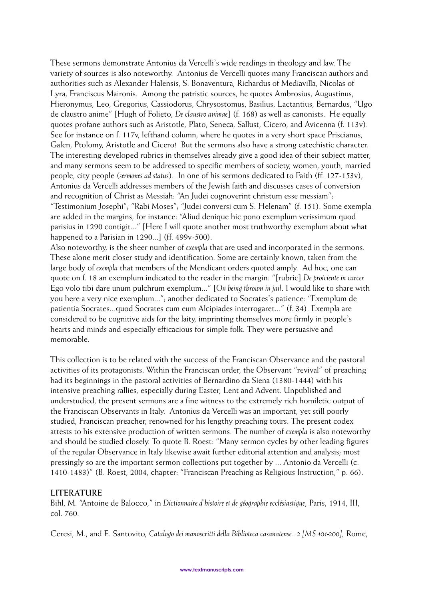These sermons demonstrate Antonius da Vercelli's wide readings in theology and law. The variety of sources is also noteworthy. Antonius de Vercelli quotes many Franciscan authors and authorities such as Alexander Halensis, S. Bonaventura, Richardus of Mediavilla, Nicolas of Lyra, Franciscus Maironis. Among the patristic sources, he quotes Ambrosius, Augustinus, Hieronymus, Leo, Gregorius, Cassiodorus, Chrysostomus, Basilius, Lactantius, Bernardus, "Ugo de claustro anime" [Hugh of Folieto, *De claustro animae*] (f. 168) as well as canonists. He equally quotes profane authors such as Aristotle, Plato, Seneca, Sallust, Cicero, and Avicenna (f. 113v). See for instance on f. 117v, lefthand column, where he quotes in a very short space Priscianus, Galen, Ptolomy, Aristotle and Cicero! But the sermons also have a strong catechistic character. The interesting developed rubrics in themselves already give a good idea of their subject matter, and many sermons seem to be addressed to specific members of society, women, youth, married people, city people (*sermones ad status*). In one of his sermons dedicated to Faith (ff. 127-153v), Antonius da Vercelli addresses members of the Jewish faith and discusses cases of conversion and recognition of Christ as Messiah: "An Judei cognoverint christum esse messiam"; "Testimonium Josephi"; "Rabi Moses"; "Judei conversi cum S. Helenam" (f. 151). Some exempla are added in the margins, for instance: "Aliud denique hic pono exemplum verissimum quod parisius in 1290 contigit..." [Here I will quote another most truthworthy exemplum about what happened to a Parisian in 1290...] (ff. 499v-500).

Also noteworthy, is the sheer number of *exempla* that are used and incorporated in the sermons. These alone merit closer study and identification. Some are certainly known, taken from the large body of *exempla* that members of the Mendicant orders quoted amply. Ad hoc, one can quote on f. 18 an exemplum indicated to the reader in the margin: "[rubric] *De proiciente in carcer.* Ego volo tibi dare unum pulchrum exemplum..." [*On being thrown in jail*. I would like to share with you here a very nice exemplum..."; another dedicated to Socrates's patience: "Exemplum de patientia Socrates...quod Socrates cum eum Alcipiades interrogaret..." (f. 34). Exempla are considered to be cognitive aids for the laity, imprinting themselves more firmly in people's hearts and minds and especially efficacious for simple folk. They were persuasive and memorable.

This collection is to be related with the success of the Franciscan Observance and the pastoral activities of its protagonists. Within the Franciscan order, the Observant "revival" of preaching had its beginnings in the pastoral activities of Bernardino da Siena (1380-1444) with his intensive preaching rallies, especially during Easter, Lent and Advent. Unpublished and understudied, the present sermons are a fine witness to the extremely rich homiletic output of the Franciscan Observants in Italy. Antonius da Vercelli was an important, yet still poorly studied, Franciscan preacher, renowned for his lengthy preaching tours. The present codex attests to his extensive production of written sermons. The number of *exempla* is also noteworthy and should be studied closely. To quote B. Roest: "Many sermon cycles by other leading figures of the regular Observance in Italy likewise await further editorial attention and analysis; most pressingly so are the important sermon collections put together by ... Antonio da Vercelli (c. 1410-1483)" (B. Roest, 2004, chapter: "Franciscan Preaching as Religious Instruction," p. 66).

## **LITERATURE**

Bihl, M. "Antoine de Balocco," in *Dictionnaire d'histoire et de géographie ecclésiastique*, Paris, 1914, III, col. 760.

Ceresi, M., and E. Santovito, *Catalogo dei manoscritti della Biblioteca casanatense...2 [MS 101-200],* Rome,